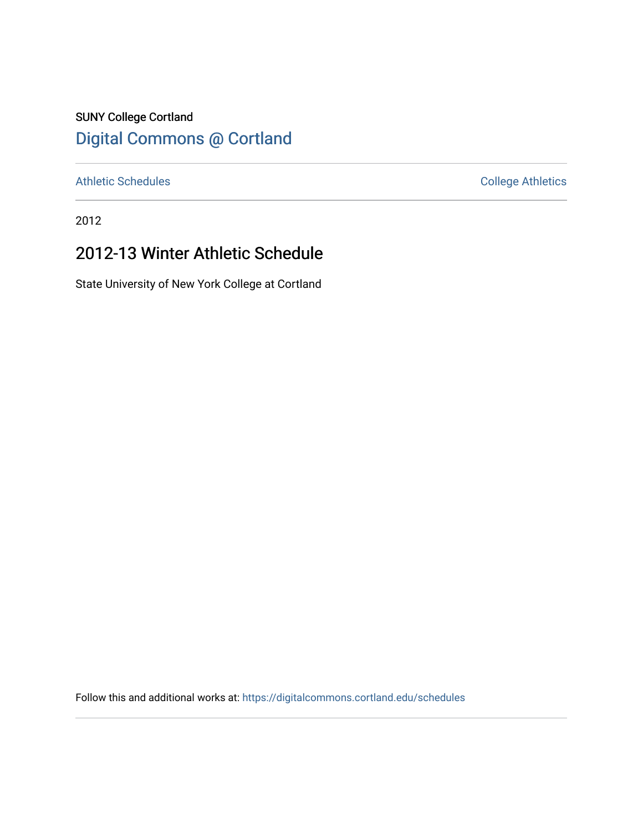## SUNY College Cortland [Digital Commons @ Cortland](https://digitalcommons.cortland.edu/)

[Athletic Schedules](https://digitalcommons.cortland.edu/schedules) **College Athletics** College Athletics

2012

# 2012-13 Winter Athletic Schedule

State University of New York College at Cortland

Follow this and additional works at: [https://digitalcommons.cortland.edu/schedules](https://digitalcommons.cortland.edu/schedules?utm_source=digitalcommons.cortland.edu%2Fschedules%2F104&utm_medium=PDF&utm_campaign=PDFCoverPages)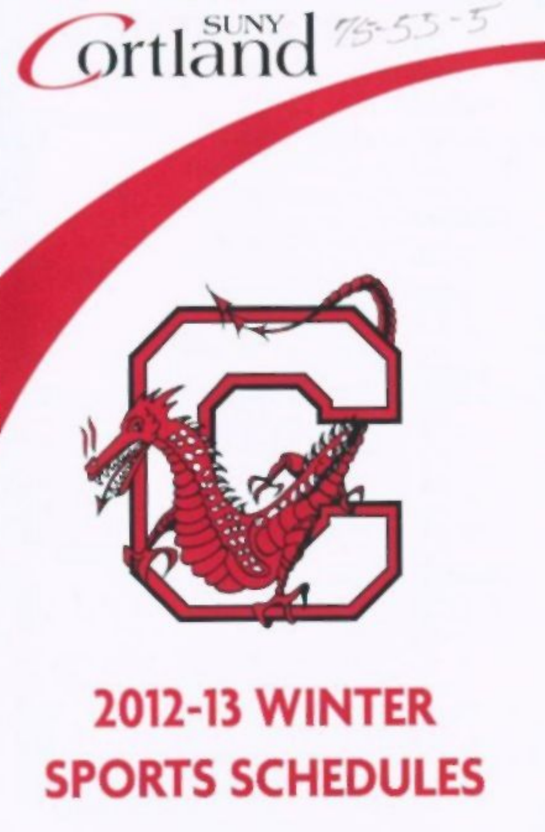# **Ortland**

# 2012-13 WINTER SPORTS SCHEDULES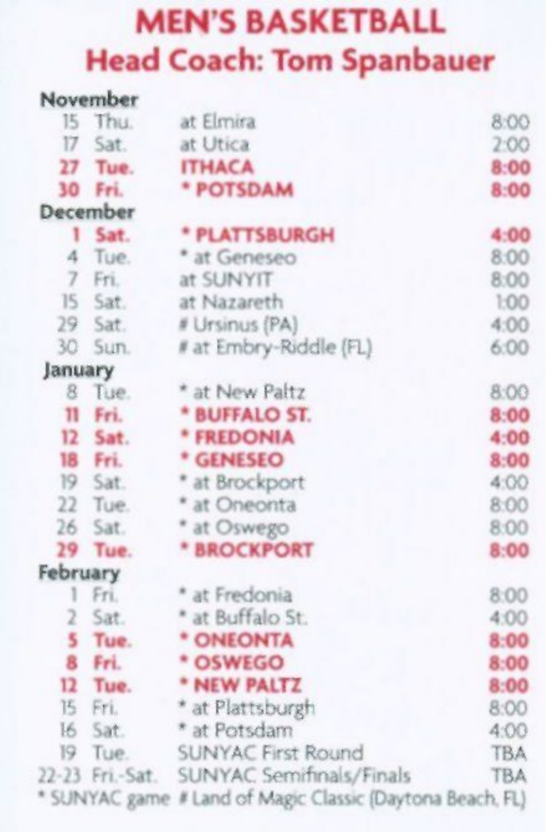## MEN'S BASKETBALL Head Coach: Tom Spanbauer

|                | November         |                                             |            |
|----------------|------------------|---------------------------------------------|------------|
|                | 15 Thu           | at Elmira                                   | 8:00       |
| 17             | Sat.             | at Utica                                    | 2:00       |
| 27             | Tue.             | <b>ITHACA</b>                               | 8:00       |
|                | 30 Fri.          | * POTSDAM                                   | 8:00       |
|                | December         |                                             |            |
| ١              | Sat.             | * PLATTSBURGH                               | 4:00       |
| 4              | Tue.             | * at Geneseo                                | 8:00       |
| $\overline{7}$ | Fri.             | at SUNYIT                                   | 8:00       |
|                | 15 Sat.          | at Nazareth                                 | 1:00       |
|                | 29 Sat.          | # Ursinus (PA)                              | 4:00       |
| 30             | Sun.             | # at Embry-Riddle (FL)                      | 6:00       |
| January        |                  |                                             |            |
| 8              | Tue.             | * at New Paltz                              | 8:00       |
| $\mathbf{u}$   | Fri.             | * BUFFALO ST.                               | 8:00       |
|                | 12 Sat.          | * FREDONIA                                  | 4:00       |
|                | 18 Fri.          | * GENESEO                                   | 8:00       |
|                | 19 Sat.          | * at Brockport                              | 4:00       |
|                | 22 Tue.          | * at Oneonta                                | 8:00       |
| 26             | Sat.             | * at Oswego                                 | 8:00       |
| 29             | Tue.             | * BROCKPORT                                 | 8:00       |
| February       |                  |                                             |            |
| 1              | Fri.             | * at Fredonia                               | 8:00       |
| $\overline{2}$ | Sat.             | * at Buffalo St.                            | 4:00       |
|                | 5 Tue.           | * ONEONTA                                   | 8:00       |
| 8              | Fri.             | * OSWEGO                                    | 8:00       |
|                | 12 Tue.          | * NEW PALTZ                                 | 8:00       |
|                | 15 Fri.          | * at Plattsburgh                            | 8:00       |
| 16             | Sat.             | * at Potsdam                                | 4:00       |
| 19             | Tue.             | <b>SUNYAC First Round</b>                   | <b>TBA</b> |
|                | 22-23 Fri - Sat. | SUNYAC Semifinals/Finals                    | <b>TBA</b> |
|                | * SUNYAC game    | # Land of Magic Classic (Daytona Beach, FL) |            |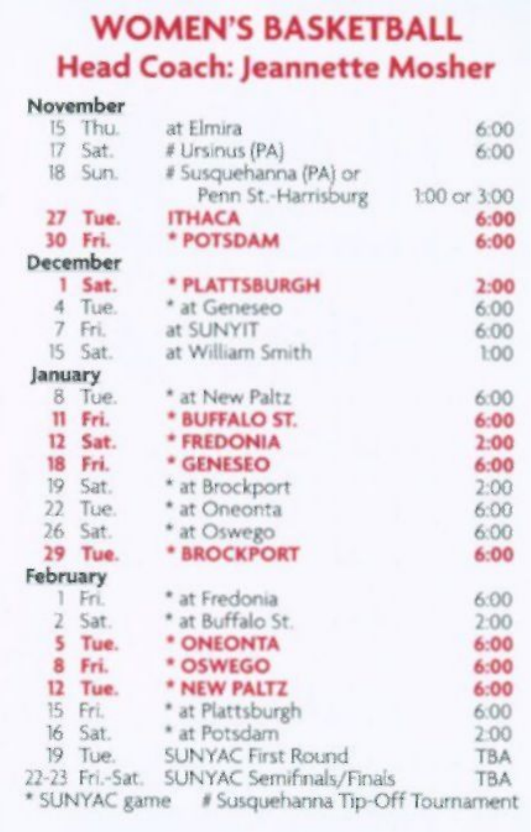#### WOMEN'S BASKETBALL Head Coach: Jeannette Mosher

|          | November        |                                                |              |
|----------|-----------------|------------------------------------------------|--------------|
| 15       | Thu.            | at Elmira                                      | 6:00         |
| 17       | Sat.            | # Ursinus (PA)                                 | 6:00         |
| 18       | Sun.            | # Susquehanna (PA) or                          |              |
|          |                 | Penn St.-Harrisburg                            | 1:00 or 3:00 |
| 27       | Tue.            | <b>ITHACA</b>                                  | 6:00         |
| 30       | Fri.            | * POTSDAM                                      | 6:00         |
|          | December        |                                                |              |
| 1        | Sat.            | * PLATTSBURGH                                  | 2:00         |
| 4        | Tue.            | * at Geneseo                                   | 6:00         |
| 7        | Fri.            | at SUNYIT                                      | 6:00         |
| 15       | Sat.            | at William Smith                               | 1:00         |
| January  |                 |                                                |              |
|          | 8 Tue.          | * at New Paltz                                 | 6:00         |
|          | 11 Fri.         | * BUFFALO ST.                                  | 6:00         |
| 12       | Sat.            | * FREDONIA                                     | 2:00         |
| 18       | Fri.            | * GENESEO                                      | 6:00         |
|          | 19 Sat.         | * at Brockport                                 | 2:00         |
| 22       | Tue.            | * at Oneonta                                   | 6:00         |
| 26       | Sat.            | * at Oswego                                    | 6:00         |
| 29       | Tue.            | * BROCKPORT                                    | 6:00         |
| February |                 |                                                |              |
| 1        | Fri.            | * at Fredonia                                  | 6:00         |
| 2        | Sat.            | * at Buffalo St.                               | 2:00         |
| 5        | Tue.            | * ONEONTA                                      | 6:00         |
| 8        | Fri.            | * OSWEGO                                       | 6:00         |
| 12       | Tue.            | * NEW PALTZ                                    | 6:00         |
|          | 15 Fri.         | * at Plattsburgh                               | 6:00         |
|          | 16 Sat.         | * at Potsdam                                   | 2:00         |
| 19       | Tue.            | SUNYAC First Round                             | <b>TBA</b>   |
|          | 22-23 Fri.-Sat. | SUNYAC Semifinals/Finals                       | <b>TBA</b>   |
|          |                 | * SUNYAC game # Susquehanna Tip-Off Tournament |              |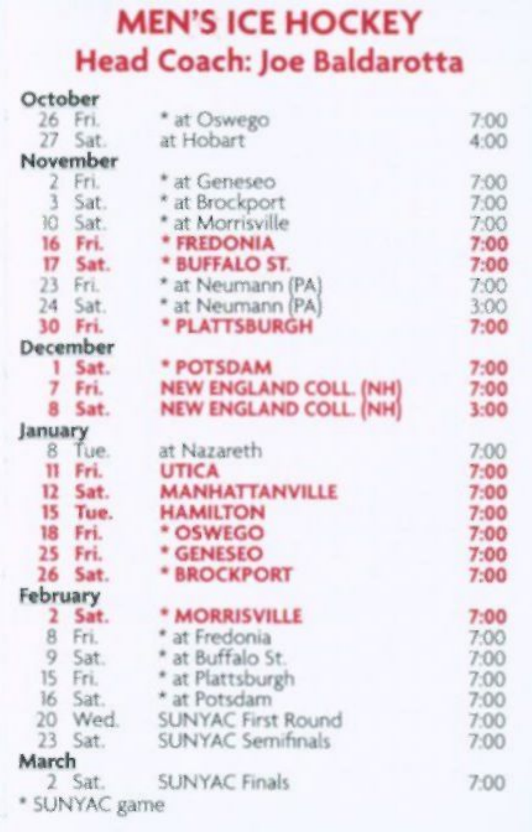## MEN'S ICE HOCKEY Head Coach: Joe Baldarotta

**October** 

|          | ------        |                               |      |
|----------|---------------|-------------------------------|------|
|          | 26 Fri.       | * at Oswego                   | 7:00 |
| 27       | Sat.          | at Hobart                     | 4:00 |
|          | November      |                               |      |
| 2        | Fri.          | * at Geneseo                  | 7:00 |
|          | Sat.          | * at Brockport                | 7:00 |
| 10       | Sat.          | * at Morrisville              | 7:00 |
|          | 16 Fri.       | * FREDONIA                    | 7:00 |
|          | 17 Sat.       | * BUFFALO ST.                 | 7:00 |
|          | 23 Fri.       | * at Neumann (PA)             | 7:00 |
|          | 24 Sat.       | * at Neumann (PA)             | 3:00 |
| 30       | Fri.          | * PLATTSBURGH                 | 7:00 |
|          | December      |                               |      |
| ۱        | Sat.          | * POTSDAM                     | 7:00 |
|          | 7 Fri.        | <b>NEW ENGLAND COLL. (NH)</b> | 7:00 |
| 8        | Sat.          | <b>NEW ENGLAND COLL. (NH)</b> | 3:00 |
| January  |               |                               |      |
| 8        | Tue.          | at Nazareth                   | 7:00 |
| 11       | Fri.          | <b>UTICA</b>                  | 7:00 |
|          | 12 Sat.       | <b>MANHATTANVILLE</b>         | 7:00 |
|          | 15 Tue.       | <b>HAMILTON</b>               | 7:00 |
| 18       | Fri.          | * OSWEGO                      | 7:00 |
|          | 25 Fri.       | * GENESEO                     | 7:00 |
| 26       | Sat.          | * BROCKPORT                   | 7:00 |
| February |               |                               |      |
|          | 2 Sat.        | * MORRISVILLE                 | 7:00 |
|          | 8 Fri.        | * at Fredonia                 | 7:00 |
|          | 9 Sat.        | * at Buffalo St.              | 7:00 |
|          | 15 Fri.       | * at Plattsburgh              | 7:00 |
|          | 16 Sat.       | * at Potsdam                  | 7:00 |
| 20       | Wed.          | <b>SUNYAC First Round</b>     | 7:00 |
|          | 23 Sat.       | <b>SUNYAC Semifinals</b>      | 7:00 |
| March    |               |                               |      |
|          | 2 Sat.        | <b>SUNYAC Finals</b>          | 7:00 |
|          | * SUNYAC game |                               |      |
|          |               |                               |      |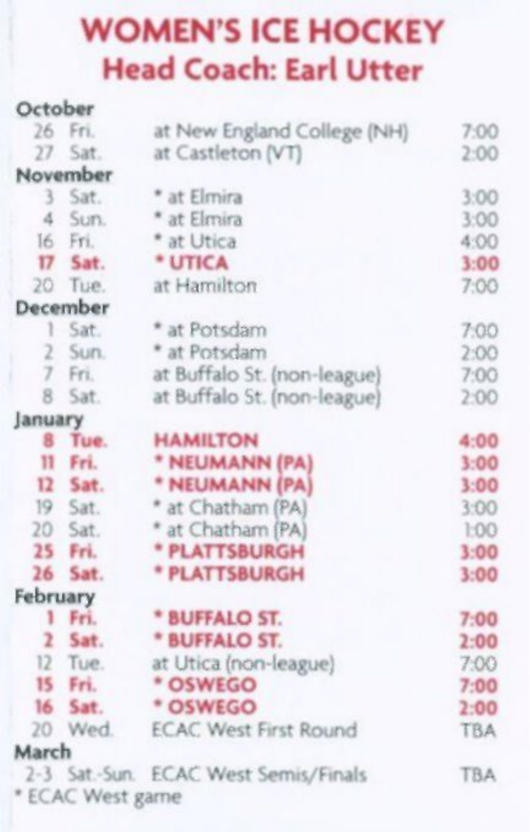#### WOMEN'S ICE HOCKEY Head Coach: Earl Utter

| October        |                  |                                      |            |
|----------------|------------------|--------------------------------------|------------|
| 26             | Fri.             | at New England College (NH)          | 7:00       |
| 27             | Sat.             | at Castleton (VT)                    | 2:00       |
|                | November         |                                      |            |
| 3              | Sat.             | * at Elmira                          | 3:00       |
| $\Delta$       | Sun.             | * at Elmira                          | 3:00       |
|                | 16 Fri.          | * at Utica                           | 4:00       |
| 17             | Sat.             | * UTICA                              | 3:00       |
|                | 20 Tue.          | at Hamilton                          | 7:00       |
|                | December         |                                      |            |
| 1              | Sat.             | * at Potsdam                         | 7:00       |
| 2              | Sun.             | * at Potsdam                         | 2:00       |
| 7              | Fri.             | at Buffalo St. (non-league)          | 7:00       |
| 8              | Sat.             | at Buffalo St. (non-league)          | 2:00       |
| January        |                  |                                      |            |
|                | 8 Tue.           | <b>HAMILTON</b>                      | 4:00       |
| $^{11}$        | Fri.             | * NEUMANN (PA)                       | $3 - 00$   |
|                | 12 Sat.          | * NEUMANN (PA)                       | 3:00       |
|                | 19 Sat.          | * at Chatham (PA)                    | 3:00       |
|                | 20 Sat.          | * at Chatham (PA)                    | 1:00       |
|                | 25 Fri.          | * PLATTSBURGH                        | 3:00       |
| 26             | Sat.             | * PLATTSBURGH                        | 3:00       |
| February       |                  |                                      |            |
|                | 1 Fri.           | * BUFFALO ST.                        | 7:00       |
| $\overline{2}$ | Sat.             | * BUFFALO ST.                        | 2:00       |
| 12             | Tue.             | at Utica (non-league)                | 7:00       |
| 15             | Fri.             | * OSWEGO                             | 7:00       |
| 16             | Sat.             | * OSWEGO                             | 2:00       |
|                | 20 Wed.          | <b>ECAC West First Round</b>         | <b>TBA</b> |
| March          |                  |                                      |            |
|                |                  | 2-3 Sat.-Sun. ECAC West Semis/Finals | <b>TBA</b> |
|                | * ECAC West game |                                      |            |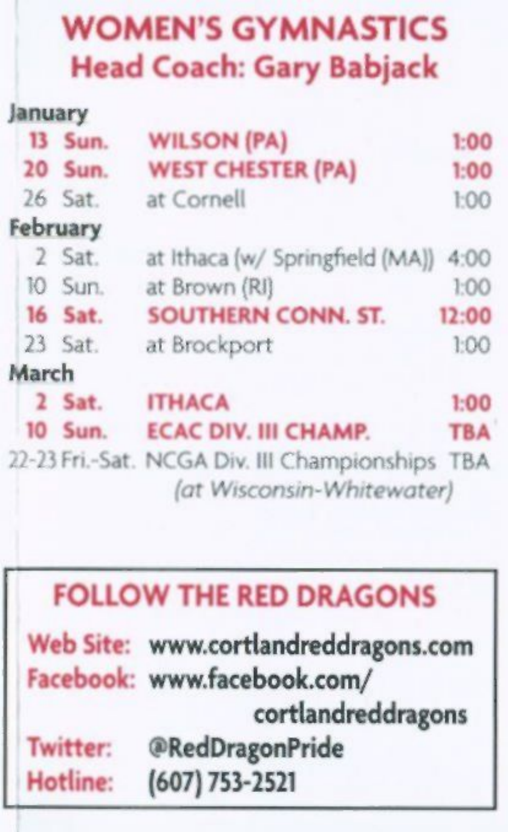## **WOMEN'S GYMNASTICS Head Coach: Gary Babjack**

| January |          |                                                                              |            |
|---------|----------|------------------------------------------------------------------------------|------------|
|         | 13 Sun.  | <b>WILSON (PA)</b>                                                           | 1:00       |
|         | 20 Sun.  | <b>WEST CHESTER (PA)</b>                                                     | 1:00       |
|         | 26 Sat.  | at Cornell                                                                   | 1:00       |
|         | February |                                                                              |            |
|         | 2 Sat.   | at Ithaca (w/ Springfield (MA))                                              | 4:00       |
|         | 10 Sun.  | at Brown (RI)                                                                | 1:00       |
|         | 16 Sat.  | <b>SOUTHERN CONN. ST.</b>                                                    | 12:00      |
|         | 23 Sat.  | at Brockport                                                                 | 1:00       |
| March   |          |                                                                              |            |
|         | 2 Sat.   | <b>ITHACA</b>                                                                | 1:00       |
|         | 10 Sun.  | <b>ECAC DIV. III CHAMP.</b>                                                  | <b>TBA</b> |
|         |          | 22-23 Fri.-Sat. NCGA Div. III Championships TBA<br>(at Wisconsin-Whitewater) |            |

#### FOLLOW THE RED DRAGONS

|          | Web Site: www.cortlandreddragons.com |
|----------|--------------------------------------|
|          | Facebook: www.facebook.com/          |
|          | cortlandreddragons                   |
| Twitter: | @RedDragonPride                      |
| Hotline: | $(607) 753 - 2521$                   |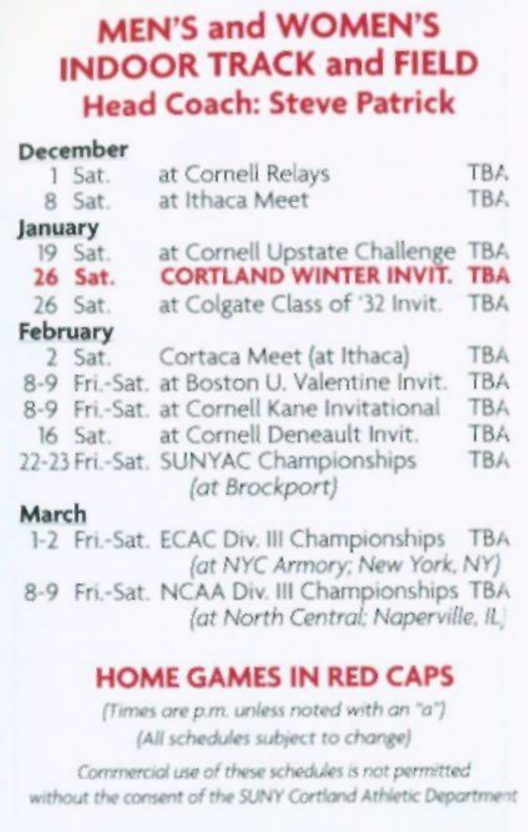#### **MEN'S and WOMEN'S INDOOR TRACK and FIELD Head Coach: Steve Patrick**

|                            | December |                                                        |            |
|----------------------------|----------|--------------------------------------------------------|------------|
|                            | 1 Sat.   | at Cornell Relays                                      | TBA.       |
|                            | 8 Sat.   | at Ithaca Meet                                         | TBA        |
| January                    |          |                                                        |            |
|                            | 19 Sat.  | at Cornell Upstate Challenge                           | <b>TBA</b> |
|                            | 26 Sat.  | <b>CORTLAND WINTER INVIT. TBA</b>                      |            |
|                            | 26 Sat.  | at Colgate Class of '32 Invit. TBA                     |            |
| February                   |          |                                                        |            |
|                            | 2 Sat.   | Cortaca Meet (at Ithaca)                               | <b>TBA</b> |
|                            |          | 8-9 Fri.-Sat. at Boston U. Valentine Invit.            | <b>TBA</b> |
|                            |          | 8-9 Fri.-Sat. at Cornell Kane Invitational             | <b>TBA</b> |
|                            | 16 Sat.  | at Cornell Deneault Invit.                             | <b>TBA</b> |
|                            |          | 22-23 Fri.-Sat. SUNYAC Championships<br>(at Brockport) | <b>TBA</b> |
| and the first state of the |          |                                                        |            |

#### **March**

1-2 Fri.-Sat. ECAC Div. Ill Championships TBA (of *NYC Armory: New York, NY)*  8-9 Fri.-Sat. NCAA Div. Ill Championships TBA *(at North Central: Naperville, IL* 

#### **HOME GAMES IN RED CAPS**

*(Times ore p.m. unless noted with an "a") (All schedules subject to change)* 

*Commercial use of these schedules is not permitted without the consent of the 5UNY Cortland Athletic Department*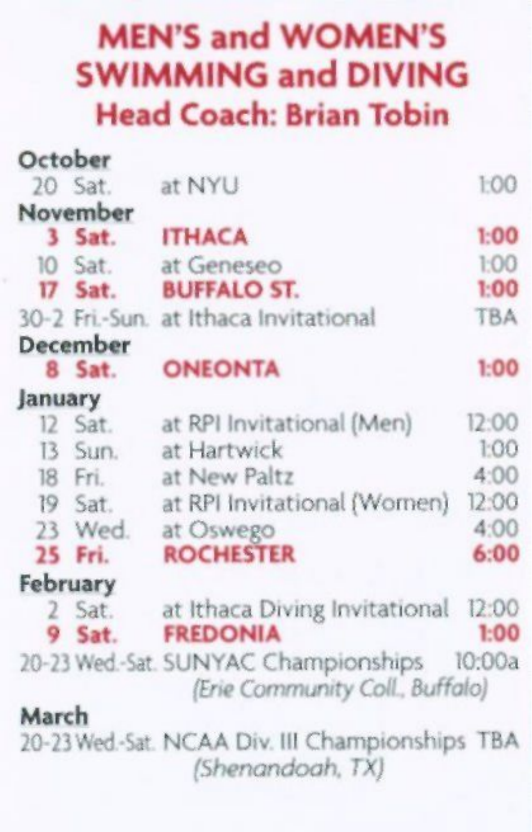#### MEN'S and WOMEN'S SWIMMING and DIVING Head Coach: Brian Tobin

| October |          |                                                                                |            |
|---------|----------|--------------------------------------------------------------------------------|------------|
|         | 20 Sat.  | at NYU                                                                         | 1:00       |
|         | November |                                                                                |            |
|         | $3$ Sat. | <b>ITHACA</b>                                                                  | 1:00       |
|         | 10 Sat.  | at Geneseo                                                                     | 1:00       |
|         | 17 Sat.  | <b>BUFFALO ST.</b>                                                             | 1:00       |
|         |          | 30-2 Fri.-Sun. at Ithaca Invitational                                          | <b>TBA</b> |
|         | December |                                                                                |            |
|         | 8 Sat.   | <b>ONEONTA</b>                                                                 | 1:00       |
| January |          |                                                                                |            |
|         | 12 Sat.  | at RPI Invitational (Men)                                                      | 12:00      |
|         | 13 Sun.  | at Hartwick                                                                    | 1:00       |
|         | 18 Fri.  | at New Paltz                                                                   | 4:00       |
|         | 19 Sat.  | at RPI Invitational (Women)                                                    | 12:00      |
|         | 23 Wed.  | at Oswego                                                                      | 4:00       |
|         | 25 Fri.  | <b>ROCHESTER</b>                                                               | 6:00       |
|         | February |                                                                                |            |
|         | 2 Sat.   | at Ithaca Diving Invitational                                                  | 12:00      |
|         | 9 Sat.   | <b>FREDONIA</b>                                                                | 1:00       |
|         |          | 20-23 Wed.-Sat. SUNYAC Championships 10:00a<br>(Erie Community Coll., Buffalo) |            |
| March   |          |                                                                                |            |
|         |          | 20-23 Wed-Sat. NCAA Div. III Championships TBA                                 |            |

*(Shenandoah, TX)*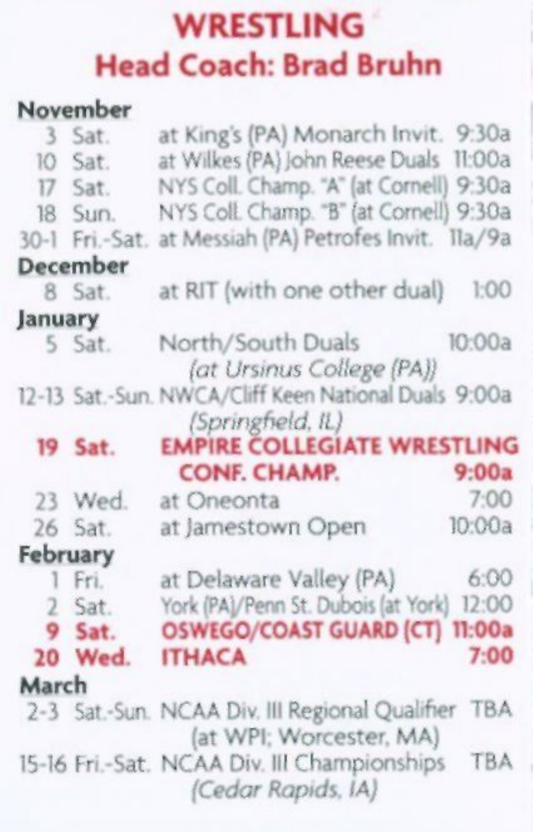## **WRESTLING Head Coach: Brad Bruhn**

#### **November**

|          | 3 Sat.         | at King's (PA) Monarch Invit. 9:30a                                           |        |
|----------|----------------|-------------------------------------------------------------------------------|--------|
|          | 10 Sat.        | at Wilkes (PA) John Reese Duals 11:00a                                        |        |
|          | 17 Sat.        | NYS Coll. Champ. "A" (at Cornell) 9:30a                                       |        |
|          | 18 Sun.        | NYS Coll. Champ. "B" (at Cornell) 9:30a                                       |        |
|          | 30-1 Fri.-Sat. | at Messiah (PA) Petrofes Invit. Ila/9a                                        |        |
|          | December       |                                                                               |        |
|          | 8 Sat.         | at RIT (with one other dual)                                                  | 1:00   |
| January  |                |                                                                               |        |
|          | 5 Sat.         | North/South Duals                                                             | 10:00a |
|          |                | (at Ursinus College (PA))                                                     |        |
|          |                | 12-13 Sat.-Sun. NWCA/Cliff Keen National Duals 9:00a                          |        |
|          |                | (Springfield, IL)                                                             |        |
|          | 19 Sat.        | <b>EMPIRE COLLEGIATE WRESTLING</b>                                            |        |
|          |                | <b>CONF. CHAMP.</b>                                                           | 9:00a  |
|          | 23 Wed.        | at Oneonta                                                                    | 7:00   |
|          | 26 Sat.        | at Jamestown Open                                                             | 10:00a |
| February |                |                                                                               |        |
|          | 1 Fri.         | at Delaware Valley (PA)                                                       | 6:00   |
|          | 2 Sat.         | York (PA)/Penn St. Dubois (at York)                                           | 12:00  |
|          | 9 Sat.         | <b>OSWEGO/COAST GUARD (CT)</b>                                                | 11:00a |
|          | 20 Wed.        | <b>ITHACA</b>                                                                 | 7:00   |
| March    |                |                                                                               |        |
|          |                | 2-3 Sat.-Sun. NCAA Div. III Regional Qualifier TBA<br>(at WPI: Worcester, MA) |        |
|          |                | 15-16 Fri.-Sat. NCAA Div. III Championships<br>(Cedar Rapids, IA)             | TBA    |